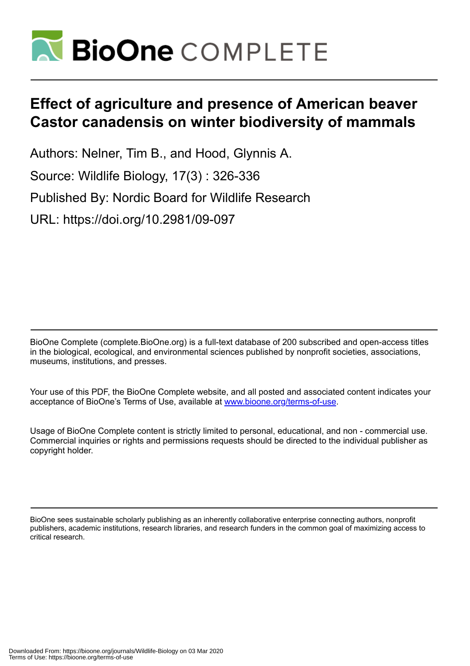

# **Effect of agriculture and presence of American beaver Castor canadensis on winter biodiversity of mammals**

Authors: Nelner, Tim B., and Hood, Glynnis A. Source: Wildlife Biology, 17(3) : 326-336 Published By: Nordic Board for Wildlife Research URL: https://doi.org/10.2981/09-097

BioOne Complete (complete.BioOne.org) is a full-text database of 200 subscribed and open-access titles in the biological, ecological, and environmental sciences published by nonprofit societies, associations, museums, institutions, and presses.

Your use of this PDF, the BioOne Complete website, and all posted and associated content indicates your acceptance of BioOne's Terms of Use, available at www.bioone.org/terms-of-use.

Usage of BioOne Complete content is strictly limited to personal, educational, and non - commercial use. Commercial inquiries or rights and permissions requests should be directed to the individual publisher as copyright holder.

BioOne sees sustainable scholarly publishing as an inherently collaborative enterprise connecting authors, nonprofit publishers, academic institutions, research libraries, and research funders in the common goal of maximizing access to critical research.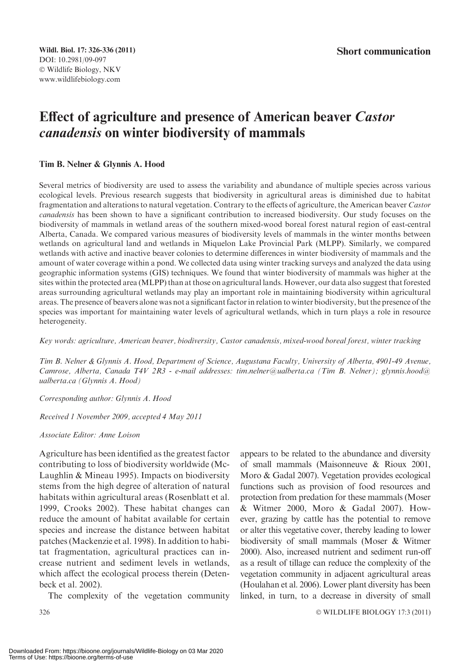## Effect of agriculture and presence of American beaver Castor canadensis on winter biodiversity of mammals

## Tim B. Nelner & Glynnis A. Hood

Several metrics of biodiversity are used to assess the variability and abundance of multiple species across various ecological levels. Previous research suggests that biodiversity in agricultural areas is diminished due to habitat fragmentation and alterations to natural vegetation. Contrary to the effects of agriculture, the American beaver Castor canadensis has been shown to have a significant contribution to increased biodiversity. Our study focuses on the biodiversity of mammals in wetland areas of the southern mixed-wood boreal forest natural region of east-central Alberta, Canada. We compared various measures of biodiversity levels of mammals in the winter months between wetlands on agricultural land and wetlands in Miquelon Lake Provincial Park (MLPP). Similarly, we compared wetlands with active and inactive beaver colonies to determine differences in winter biodiversity of mammals and the amount of water coverage within a pond. We collected data using winter tracking surveys and analyzed the data using geographic information systems (GIS) techniques. We found that winter biodiversity of mammals was higher at the sites within the protected area (MLPP) than at those on agricultural lands. However, our data also suggest that forested areas surrounding agricultural wetlands may play an important role in maintaining biodiversity within agricultural areas. The presence of beavers alone was not a significant factor in relation to winter biodiversity, but the presence of the species was important for maintaining water levels of agricultural wetlands, which in turn plays a role in resource heterogeneity.

Key words: agriculture, American beaver, biodiversity, Castor canadensis, mixed-wood boreal forest, winter tracking

Tim B. Nelner & Glynnis A. Hood, Department of Science, Augustana Faculty, University of Alberta, 4901-49 Avenue, Camrose, Alberta, Canada T4V 2R3 - e-mail addresses: tim.nelner@ualberta.ca (Tim B. Nelner); glynnis.hood@ ualberta.ca (Glynnis A. Hood)

Corresponding author: Glynnis A. Hood

Received 1 November 2009, accepted 4 May 2011

Associate Editor: Anne Loison

Agriculture has been identified as the greatest factor contributing to loss of biodiversity worldwide (Mc-Laughlin & Mineau 1995). Impacts on biodiversity stems from the high degree of alteration of natural habitats within agricultural areas (Rosenblatt et al. 1999, Crooks 2002). These habitat changes can reduce the amount of habitat available for certain species and increase the distance between habitat patches (Mackenzie et al. 1998). In addition to habitat fragmentation, agricultural practices can increase nutrient and sediment levels in wetlands, which affect the ecological process therein (Detenbeck et al. 2002).

The complexity of the vegetation community

appears to be related to the abundance and diversity of small mammals (Maisonneuve & Rioux 2001, Moro & Gadal 2007). Vegetation provides ecological functions such as provision of food resources and protection from predation for these mammals (Moser & Witmer 2000, Moro & Gadal 2007). However, grazing by cattle has the potential to remove or alter this vegetative cover, thereby leading to lower biodiversity of small mammals (Moser & Witmer 2000). Also, increased nutrient and sediment run-off as a result of tillage can reduce the complexity of the vegetation community in adjacent agricultural areas (Houlahan et al. 2006). Lower plant diversity has been linked, in turn, to a decrease in diversity of small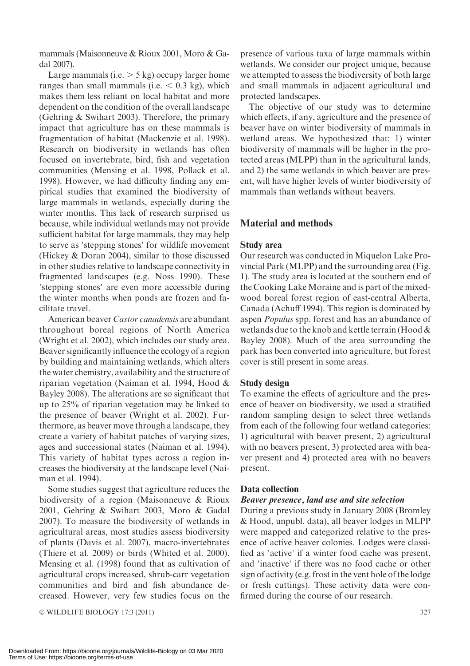mammals (Maisonneuve & Rioux 2001, Moro & Gadal 2007).

Large mammals (i.e.  $> 5$  kg) occupy larger home ranges than small mammals (i.e.  $< 0.3$  kg), which makes them less reliant on local habitat and more dependent on the condition of the overall landscape (Gehring & Swihart 2003). Therefore, the primary impact that agriculture has on these mammals is fragmentation of habitat (Mackenzie et al. 1998). Research on biodiversity in wetlands has often focused on invertebrate, bird, fish and vegetation communities (Mensing et al. 1998, Pollack et al. 1998). However, we had difficulty finding any empirical studies that examined the biodiversity of large mammals in wetlands, especially during the winter months. This lack of research surprised us because, while individual wetlands may not provide sufficient habitat for large mammals, they may help to serve as 'stepping stones' for wildlife movement (Hickey & Doran 2004), similar to those discussed in other studies relative to landscape connectivity in fragmented landscapes (e.g. Noss 1990). These 'stepping stones' are even more accessible during the winter months when ponds are frozen and facilitate travel.

American beaver Castor canadensis are abundant throughout boreal regions of North America (Wright et al. 2002), which includes our study area. Beaver significantly influence the ecology of a region by building and maintaining wetlands, which alters the water chemistry, availability and the structure of riparian vegetation (Naiman et al. 1994, Hood & Bayley 2008). The alterations are so significant that up to 25% of riparian vegetation may be linked to the presence of beaver (Wright et al. 2002). Furthermore, as beaver move through a landscape, they create a variety of habitat patches of varying sizes, ages and successional states (Naiman et al. 1994). This variety of habitat types across a region increases the biodiversity at the landscape level (Naiman et al. 1994).

Some studies suggest that agriculture reduces the biodiversity of a region (Maisonneuve & Rioux 2001, Gehring & Swihart 2003, Moro & Gadal 2007). To measure the biodiversity of wetlands in agricultural areas, most studies assess biodiversity of plants (Davis et al. 2007), macro-invertebrates (Thiere et al. 2009) or birds (Whited et al. 2000). Mensing et al. (1998) found that as cultivation of agricultural crops increased, shrub-carr vegetation communities and bird and fish abundance decreased. However, very few studies focus on the

© WILDLIFE BIOLOGY 17:3 (2011) 327

presence of various taxa of large mammals within wetlands. We consider our project unique, because we attempted to assess the biodiversity of both large and small mammals in adjacent agricultural and protected landscapes.

The objective of our study was to determine which effects, if any, agriculture and the presence of beaver have on winter biodiversity of mammals in wetland areas. We hypothesized that: 1) winter biodiversity of mammals will be higher in the protected areas (MLPP) than in the agricultural lands, and 2) the same wetlands in which beaver are present, will have higher levels of winter biodiversity of mammals than wetlands without beavers.

## Material and methods

#### Study area

Our research was conducted in Miquelon Lake Provincial Park (MLPP) and the surrounding area (Fig. 1). The study area is located at the southern end of the Cooking Lake Moraine and is part of the mixedwood boreal forest region of east-central Alberta, Canada (Achuff 1994). This region is dominated by aspen Populus spp. forest and has an abundance of wetlands due to the knob and kettle terrain (Hood & Bayley 2008). Much of the area surrounding the park has been converted into agriculture, but forest cover is still present in some areas.

#### Study design

To examine the effects of agriculture and the presence of beaver on biodiversity, we used a stratified random sampling design to select three wetlands from each of the following four wetland categories: 1) agricultural with beaver present, 2) agricultural with no beavers present, 3) protected area with beaver present and 4) protected area with no beavers present.

## Data collection

#### Beaver presence, land use and site selection

During a previous study in January 2008 (Bromley & Hood, unpubl. data), all beaver lodges in MLPP were mapped and categorized relative to the presence of active beaver colonies. Lodges were classified as 'active' if a winter food cache was present, and 'inactive' if there was no food cache or other sign of activity (e.g. frost in the vent hole of the lodge or fresh cuttings). These activity data were confirmed during the course of our research.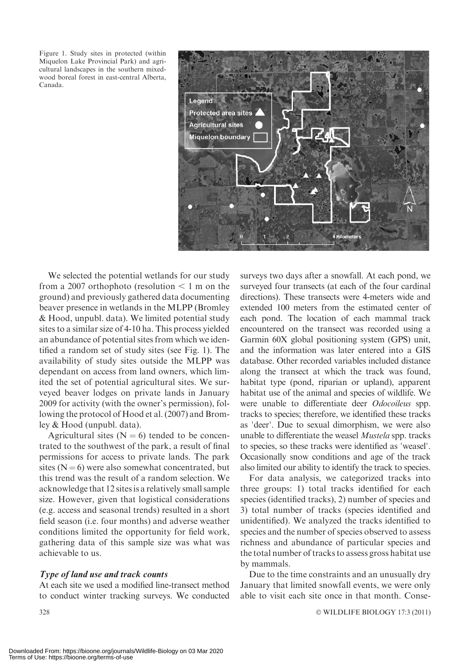Figure 1. Study sites in protected (within Miquelon Lake Provincial Park) and agricultural landscapes in the southern mixedwood boreal forest in east-central Alberta, Canada.



We selected the potential wetlands for our study from a 2007 orthophoto (resolution  $\leq 1$  m on the ground) and previously gathered data documenting beaver presence in wetlands in the MLPP (Bromley & Hood, unpubl. data). We limited potential study sites to a similar size of 4-10 ha. This process yielded an abundance of potential sites from which we identified a random set of study sites (see Fig. 1). The availability of study sites outside the MLPP was dependant on access from land owners, which limited the set of potential agricultural sites. We surveyed beaver lodges on private lands in January 2009 for activity (with the owner's permission), following the protocol of Hood et al. (2007) and Bromley & Hood (unpubl. data).

Agricultural sites ( $N = 6$ ) tended to be concentrated to the southwest of the park, a result of final permissions for access to private lands. The park sites  $(N = 6)$  were also somewhat concentrated, but this trend was the result of a random selection. We acknowledge that 12 sites is a relatively small sample size. However, given that logistical considerations (e.g. access and seasonal trends) resulted in a short field season (i.e. four months) and adverse weather conditions limited the opportunity for field work, gathering data of this sample size was what was achievable to us.

#### Type of land use and track counts

At each site we used a modified line-transect method to conduct winter tracking surveys. We conducted

surveys two days after a snowfall. At each pond, we surveyed four transects (at each of the four cardinal directions). These transects were 4-meters wide and extended 100 meters from the estimated center of each pond. The location of each mammal track encountered on the transect was recorded using a Garmin 60X global positioning system (GPS) unit, and the information was later entered into a GIS database. Other recorded variables included distance along the transect at which the track was found, habitat type (pond, riparian or upland), apparent habitat use of the animal and species of wildlife. We were unable to differentiate deer *Odocoileus* spp. tracks to species; therefore, we identified these tracks as 'deer'. Due to sexual dimorphism, we were also unable to differentiate the weasel Mustela spp. tracks to species, so these tracks were identified as 'weasel'. Occasionally snow conditions and age of the track also limited our ability to identify the track to species.

For data analysis, we categorized tracks into three groups: 1) total tracks identified for each species (identified tracks), 2) number of species and 3) total number of tracks (species identified and unidentified). We analyzed the tracks identified to species and the number of species observed to assess richness and abundance of particular species and the total number of tracks to assess gross habitat use by mammals.

Due to the time constraints and an unusually dry January that limited snowfall events, we were only able to visit each site once in that month. Conse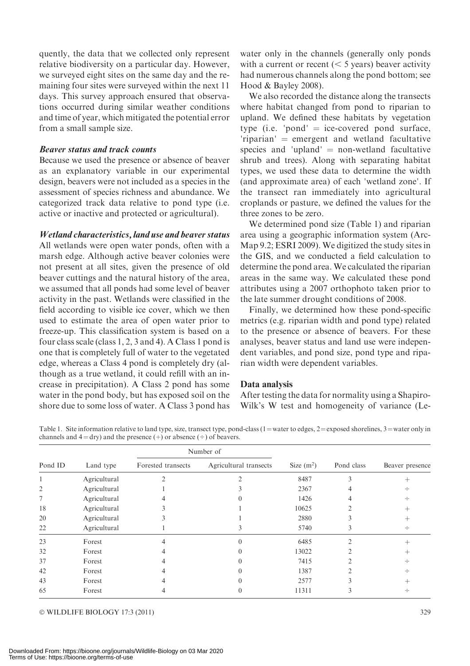quently, the data that we collected only represent relative biodiversity on a particular day. However, we surveyed eight sites on the same day and the remaining four sites were surveyed within the next 11 days. This survey approach ensured that observations occurred during similar weather conditions and time of year, which mitigated the potential error from a small sample size.

## Beaver status and track counts

Because we used the presence or absence of beaver as an explanatory variable in our experimental design, beavers were not included as a species in the assessment of species richness and abundance. We categorized track data relative to pond type (i.e. active or inactive and protected or agricultural).

Wetland characteristics, land use and beaver status All wetlands were open water ponds, often with a marsh edge. Although active beaver colonies were not present at all sites, given the presence of old beaver cuttings and the natural history of the area, we assumed that all ponds had some level of beaver activity in the past. Wetlands were classified in the field according to visible ice cover, which we then used to estimate the area of open water prior to freeze-up. This classification system is based on a four class scale (class 1, 2, 3 and 4). A Class 1 pond is one that is completely full of water to the vegetated edge, whereas a Class 4 pond is completely dry (although as a true wetland, it could refill with an increase in precipitation). A Class 2 pond has some water in the pond body, but has exposed soil on the shore due to some loss of water. A Class 3 pond has

water only in the channels (generally only ponds with a current or recent  $(< 5$  years) beaver activity had numerous channels along the pond bottom; see Hood & Bayley 2008).

We also recorded the distance along the transects where habitat changed from pond to riparian to upland. We defined these habitats by vegetation type (i.e. 'pond'  $=$  ice-covered pond surface,  $'$ riparian' = emergent and wetland facultative species and 'upland'  $=$  non-wetland facultative shrub and trees). Along with separating habitat types, we used these data to determine the width (and approximate area) of each 'wetland zone'. If the transect ran immediately into agricultural croplands or pasture, we defined the values for the three zones to be zero.

We determined pond size (Table 1) and riparian area using a geographic information system (Arc-Map 9.2; ESRI 2009). We digitized the study sites in the GIS, and we conducted a field calculation to determine the pond area. We calculated the riparian areas in the same way. We calculated these pond attributes using a 2007 orthophoto taken prior to the late summer drought conditions of 2008.

Finally, we determined how these pond-specific metrics (e.g. riparian width and pond type) related to the presence or absence of beavers. For these analyses, beaver status and land use were independent variables, and pond size, pond type and riparian width were dependent variables.

#### Data analysis

After testing the data for normality using a Shapiro-Wilk's W test and homogeneity of variance (Le-

Table 1. Site information relative to land type, size, transect type, pond-class  $(1 = \text{water to edges}, 2 = \text{exposed shorelines}, 3 = \text{water only in})$ channels and  $4 = \text{dry}$ ) and the presence (+) or absence (+) of beavers.

| Pond ID        | Land type    | Number of          |                        |              |            |                 |
|----------------|--------------|--------------------|------------------------|--------------|------------|-----------------|
|                |              | Forested transects | Agricultural transects | Size $(m^2)$ | Pond class | Beaver presence |
|                | Agricultural |                    |                        | 8487         |            |                 |
| $\overline{2}$ | Agricultural |                    |                        | 2367         |            | $\div$          |
| 7              | Agricultural |                    |                        | 1426         |            | ÷               |
| 18             | Agricultural |                    |                        | 10625        |            | $^{+}$          |
| 20             | Agricultural |                    |                        | 2880         |            |                 |
| 22             | Agricultural |                    | 3                      | 5740         |            | ÷               |
| 23             | Forest       |                    | 0                      | 6485         |            |                 |
| 32             | Forest       |                    |                        | 13022        |            |                 |
| 37             | Forest       |                    |                        | 7415         |            | ÷               |
| 42             | Forest       |                    |                        | 1387         |            | $\div$          |
| 43             | Forest       |                    |                        | 2577         |            |                 |
| 65             | Forest       |                    |                        | 11311        | 3          | ÷               |

© WILDLIFE BIOLOGY 17:3 (2011) 329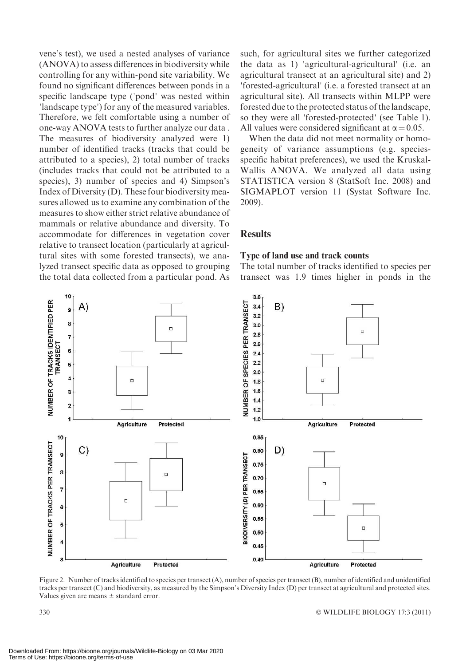vene's test), we used a nested analyses of variance (ANOVA) to assess differences in biodiversity while controlling for any within-pond site variability. We found no significant differences between ponds in a specific landscape type ('pond' was nested within 'landscape type') for any of the measured variables. Therefore, we felt comfortable using a number of one-way ANOVA tests to further analyze our data . The measures of biodiversity analyzed were 1) number of identified tracks (tracks that could be attributed to a species), 2) total number of tracks (includes tracks that could not be attributed to a species), 3) number of species and 4) Simpson's Index of Diversity (D). These four biodiversity measures allowed us to examine any combination of the measures to show either strict relative abundance of mammals or relative abundance and diversity. To accommodate for differences in vegetation cover relative to transect location (particularly at agricultural sites with some forested transects), we analyzed transect specific data as opposed to grouping the total data collected from a particular pond. As

such, for agricultural sites we further categorized the data as 1) 'agricultural-agricultural' (i.e. an agricultural transect at an agricultural site) and 2) 'forested-agricultural' (i.e. a forested transect at an agricultural site). All transects within MLPP were forested due to the protected status of the landscape, so they were all 'forested-protected' (see Table 1). All values were considered significant at  $\alpha$  = 0.05.

When the data did not meet normality or homogeneity of variance assumptions (e.g. speciesspecific habitat preferences), we used the Kruskal-Wallis ANOVA. We analyzed all data using STATISTICA version 8 (StatSoft Inc. 2008) and SIGMAPLOT version 11 (Systat Software Inc. 2009).

### **Results**

#### Type of land use and track counts

The total number of tracks identified to species per transect was 1.9 times higher in ponds in the



Figure 2. Number of tracks identified to species per transect (A), number of species per transect (B), number of identified and unidentified tracks per transect (C) and biodiversity, as measured by the Simpson's Diversity Index (D) per transect at agricultural and protected sites. Values given are means  $\pm$  standard error.

WILDLIFE BIOLOGY 17:3 (2011)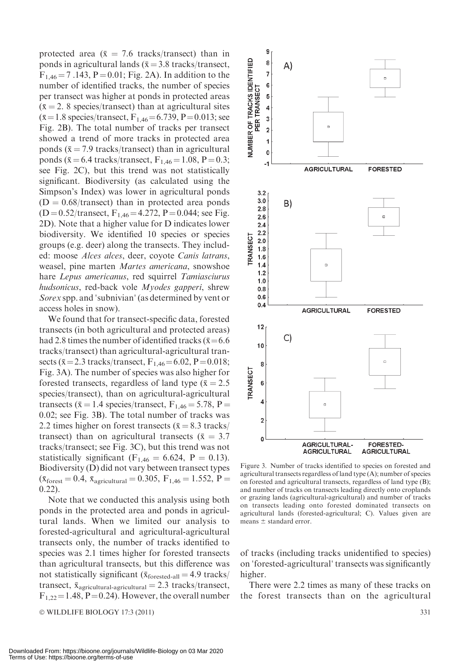protected area ( $\bar{x} = 7.6$  tracks/transect) than in ponds in agricultural lands ( $\bar{x}$  = 3.8 tracks/transect,  $F_{1,46} = 7.143$ , P = 0.01; Fig. 2A). In addition to the number of identified tracks, the number of species per transect was higher at ponds in protected areas  $(\bar{x} = 2.8$  species/transect) than at agricultural sites  $({\bar{x}} = 1.8$  species/transect,  $F_{1,46} = 6.739, P = 0.013$ ; see Fig. 2B). The total number of tracks per transect showed a trend of more tracks in protected area ponds ( $\bar{x}$  = 7.9 tracks/transect) than in agricultural ponds ( $\bar{x}$  = 6.4 tracks/transect, F<sub>1,46</sub> = 1.08, P = 0.3; see Fig. 2C), but this trend was not statistically significant. Biodiversity (as calculated using the Simpson's Index) was lower in agricultural ponds  $(D = 0.68$ /transect) than in protected area ponds  $(D=0.52$ /transect,  $F_{1,46} = 4.272$ , P = 0.044; see Fig. 2D). Note that a higher value for D indicates lower biodiversity. We identified 10 species or species groups (e.g. deer) along the transects. They included: moose Alces alces, deer, coyote Canis latrans, weasel, pine marten Martes americana, snowshoe hare Lepus americanus, red squirrel Tamiasciurus hudsonicus, red-back vole Myodes gapperi, shrew Sorex spp. and 'subnivian'(as determined by vent or access holes in snow).

We found that for transect-specific data, forested transects (in both agricultural and protected areas) had 2.8 times the number of identified tracks ( $\bar{x}$  = 6.6 tracks/transect) than agricultural-agricultural transects ( $\bar{x}$  = 2.3 tracks/transect, F<sub>1,46</sub> = 6.02, P = 0.018; Fig. 3A). The number of species was also higher for forested transects, regardless of land type ( $\bar{x} = 2.5$ ) species/transect), than on agricultural-agricultural transects ( $\bar{x}$  = 1.4 species/transect, F<sub>1,46</sub> = 5.78, P = 0.02; see Fig. 3B). The total number of tracks was 2.2 times higher on forest transects ( $\bar{x}$  = 8.3 tracks/ transect) than on agricultural transects ( $\bar{x} = 3.7$ tracks/transect; see Fig. 3C), but this trend was not statistically significant (F<sub>1,46</sub> = 6.624, P = 0.13). Biodiversity (D) did not vary between transect types  $(\bar{x}_{forest} = 0.4, \bar{x}_{agricultural} = 0.305, F_{1,46} = 1.552, P =$ 0.22).

Note that we conducted this analysis using both ponds in the protected area and ponds in agricultural lands. When we limited our analysis to forested-agricultural and agricultural-agricultural transects only, the number of tracks identified to species was 2.1 times higher for forested transects than agricultural transects, but this difference was not statistically significant ( $\bar{x}_{\text{forested-all}} = 4.9$  tracks/ transect,  $\bar{x}_{\text{agricultural-agricultural}} = 2.3$  tracks/transect,  $F_{1,22}$ =1.48, P=0.24). However, the overall number

© WILDLIFE BIOLOGY 17:3 (2011) 331



**AGRICULTURAL AGRICULTURAL** 

Figure 3. Number of tracks identified to species on forested and agricultural transects regardless of land type (A); number of species on forested and agricultural transects, regardless of land type (B); and number of tracks on transects leading directly onto croplands or grazing lands (agricultural-agricultural) and number of tracks on transects leading onto forested dominated transects on agricultural lands (forested-agricultural; C). Values given are means  $\pm$  standard error.

of tracks (including tracks unidentified to species) on 'forested-agricultural' transects was significantly higher.

There were 2.2 times as many of these tracks on the forest transects than on the agricultural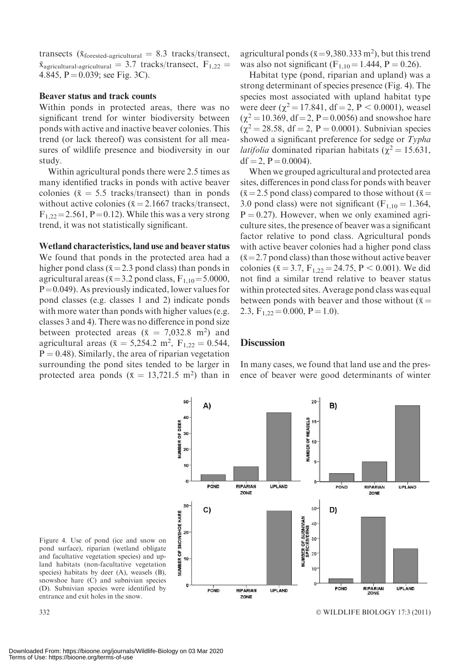transects ( $\bar{x}_{\text{forested-agricultural}} = 8.3$  tracks/transect,  $\bar{x}_{\text{agricultural-agricultural}} = 3.7 \text{ tracks/transect}, F_{1,22} =$ 4.845, P =  $0.039$ ; see Fig. 3C).

#### Beaver status and track counts

Within ponds in protected areas, there was no significant trend for winter biodiversity between ponds with active and inactive beaver colonies. This trend (or lack thereof) was consistent for all measures of wildlife presence and biodiversity in our study.

Within agricultural ponds there were 2.5 times as many identified tracks in ponds with active beaver colonies ( $\bar{x} = 5.5$  tracks/transect) than in ponds without active colonies ( $\bar{x} = 2.1667$  tracks/transect,  $F_{1,22}$ =2.561, P=0.12). While this was a very strong trend, it was not statistically significant.

#### Wetland characteristics, land use and beaver status

We found that ponds in the protected area had a higher pond class ( $\bar{x}$  = 2.3 pond class) than ponds in agricultural areas ( $\bar{x}$ =3.2 pond class, F<sub>1,10</sub> = 5.0000,  $P = 0.049$ . As previously indicated, lower values for pond classes (e.g. classes 1 and 2) indicate ponds with more water than ponds with higher values (e.g. classes 3 and 4). There was no difference in pond size between protected areas ( $\bar{x} = 7.032.8$  m<sup>2</sup>) and agricultural areas ( $\bar{x} = 5,254.2 \text{ m}^2$ ,  $F_{1,22} = 0.544$ ,  $P = 0.48$ ). Similarly, the area of riparian vegetation surrounding the pond sites tended to be larger in protected area ponds ( $\bar{x} = 13,721.5$  m<sup>2</sup>) than in

agricultural ponds ( $\bar{x}$  = 9,380.333 m<sup>2</sup>), but this trend was also not significant  $(F_{1,10} = 1.444, P = 0.26)$ .

Habitat type (pond, riparian and upland) was a strong determinant of species presence (Fig. 4). The species most associated with upland habitat type were deer ( $\chi^2$  = 17.841, df = 2, P < 0.0001), weasel  $(\chi^2 = 10.369, df = 2, P = 0.0056)$  and snowshoe hare  $(\chi^2 = 28.58, df = 2, P = 0.0001)$ . Subnivian species showed a significant preference for sedge or Typha *latifolia* dominated riparian habitats ( $\chi^2 = 15.631$ , df = 2, P =  $0.0004$ ).

When we grouped agricultural and protected area sites, differences in pond class for ponds with beaver  $({\bar x}=2.5$  pond class) compared to those without ( ${\bar x}=$ 3.0 pond class) were not significant  $(F<sub>1,10</sub> = 1.364,$  $P = 0.27$ . However, when we only examined agriculture sites, the presence of beaver was a significant factor relative to pond class. Agricultural ponds with active beaver colonies had a higher pond class  $(\bar{x} = 2.7 \text{ pond class})$  than those without active beaver colonies ( $\bar{x}$  = 3.7, F<sub>1,22</sub> = 24.75, P < 0.001). We did not find a similar trend relative to beaver status within protected sites. Average pond class was equal between ponds with beaver and those without ( $\bar{x}$  = 2.3,  $F_{1,22} = 0.000$ ,  $P = 1.0$ ).

In many cases, we found that land use and the pres-

## **Discussion**

A)

ence of beaver were good determinants of winter B) **JUMBER OF WEASELS**  $10<sup>1</sup>$ 



Figure 4. Use of pond (ice and snow on pond surface), riparian (wetland obligate and facultative vegetation species) and upland habitats (non-facultative vegetation species) habitats by deer (A), weasels (B), snowshoe hare (C) and subnivian species (D). Subnivian species were identified by entrance and exit holes in the snow.

WILDLIFE BIOLOGY 17:3 (2011)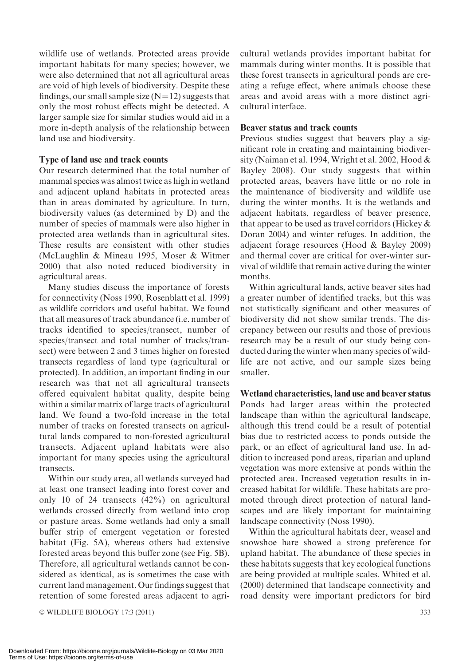wildlife use of wetlands. Protected areas provide important habitats for many species; however, we were also determined that not all agricultural areas are void of high levels of biodiversity. Despite these findings, our small sample size  $(N=12)$  suggests that only the most robust effects might be detected. A larger sample size for similar studies would aid in a more in-depth analysis of the relationship between land use and biodiversity.

## Type of land use and track counts

Our research determined that the total number of mammal species was almost twice as high in wetland and adjacent upland habitats in protected areas than in areas dominated by agriculture. In turn, biodiversity values (as determined by D) and the number of species of mammals were also higher in protected area wetlands than in agricultural sites. These results are consistent with other studies (McLaughlin & Mineau 1995, Moser & Witmer 2000) that also noted reduced biodiversity in agricultural areas.

Many studies discuss the importance of forests for connectivity (Noss 1990, Rosenblatt et al. 1999) as wildlife corridors and useful habitat. We found that all measures of track abundance (i.e. number of tracks identified to species/transect, number of species/transect and total number of tracks/transect) were between 2 and 3 times higher on forested transects regardless of land type (agricultural or protected). In addition, an important finding in our research was that not all agricultural transects offered equivalent habitat quality, despite being within a similar matrix of large tracts of agricultural land. We found a two-fold increase in the total number of tracks on forested transects on agricultural lands compared to non-forested agricultural transects. Adjacent upland habitats were also important for many species using the agricultural transects.

Within our study area, all wetlands surveyed had at least one transect leading into forest cover and only 10 of 24 transects (42%) on agricultural wetlands crossed directly from wetland into crop or pasture areas. Some wetlands had only a small buffer strip of emergent vegetation or forested habitat (Fig. 5A), whereas others had extensive forested areas beyond this buffer zone (see Fig. 5B). Therefore, all agricultural wetlands cannot be considered as identical, as is sometimes the case with current land management. Our findings suggest that retention of some forested areas adjacent to agri-

 $\circ$  WILDLIFE BIOLOGY 17:3 (2011) 333

cultural wetlands provides important habitat for mammals during winter months. It is possible that these forest transects in agricultural ponds are creating a refuge effect, where animals choose these areas and avoid areas with a more distinct agricultural interface.

#### Beaver status and track counts

Previous studies suggest that beavers play a significant role in creating and maintaining biodiversity (Naiman et al. 1994, Wright et al. 2002, Hood & Bayley 2008). Our study suggests that within protected areas, beavers have little or no role in the maintenance of biodiversity and wildlife use during the winter months. It is the wetlands and adjacent habitats, regardless of beaver presence, that appear to be used as travel corridors (Hickey & Doran 2004) and winter refuges. In addition, the adjacent forage resources (Hood & Bayley 2009) and thermal cover are critical for over-winter survival of wildlife that remain active during the winter months.

Within agricultural lands, active beaver sites had a greater number of identified tracks, but this was not statistically significant and other measures of biodiversity did not show similar trends. The discrepancy between our results and those of previous research may be a result of our study being conducted during the winter when many species of wildlife are not active, and our sample sizes being smaller.

Wetland characteristics, land use and beaver status Ponds had larger areas within the protected landscape than within the agricultural landscape, although this trend could be a result of potential bias due to restricted access to ponds outside the park, or an effect of agricultural land use. In addition to increased pond areas, riparian and upland vegetation was more extensive at ponds within the protected area. Increased vegetation results in increased habitat for wildlife. These habitats are promoted through direct protection of natural landscapes and are likely important for maintaining landscape connectivity (Noss 1990).

Within the agricultural habitats deer, weasel and snowshoe hare showed a strong preference for upland habitat. The abundance of these species in these habitats suggests that key ecological functions are being provided at multiple scales. Whited et al. (2000) determined that landscape connectivity and road density were important predictors for bird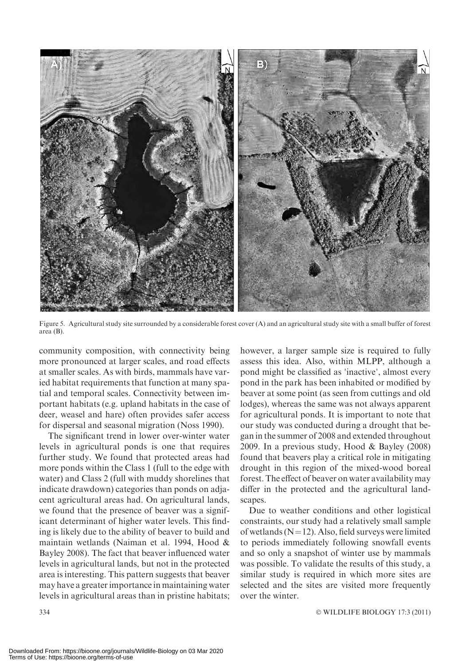

Figure 5. Agricultural study site surrounded by a considerable forest cover (A) and an agricultural study site with a small buffer of forest area (B).

community composition, with connectivity being more pronounced at larger scales, and road effects at smaller scales. As with birds, mammals have varied habitat requirements that function at many spatial and temporal scales. Connectivity between important habitats (e.g. upland habitats in the case of deer, weasel and hare) often provides safer access for dispersal and seasonal migration (Noss 1990).

The significant trend in lower over-winter water levels in agricultural ponds is one that requires further study. We found that protected areas had more ponds within the Class 1 (full to the edge with water) and Class 2 (full with muddy shorelines that indicate drawdown) categories than ponds on adjacent agricultural areas had. On agricultural lands, we found that the presence of beaver was a significant determinant of higher water levels. This finding is likely due to the ability of beaver to build and maintain wetlands (Naiman et al. 1994, Hood & Bayley 2008). The fact that beaver influenced water levels in agricultural lands, but not in the protected area is interesting. This pattern suggests that beaver may have a greater importance in maintaining water levels in agricultural areas than in pristine habitats; however, a larger sample size is required to fully assess this idea. Also, within MLPP, although a pond might be classified as 'inactive', almost every pond in the park has been inhabited or modified by beaver at some point (as seen from cuttings and old lodges), whereas the same was not always apparent for agricultural ponds. It is important to note that our study was conducted during a drought that began in the summer of 2008 and extended throughout 2009. In a previous study, Hood & Bayley (2008) found that beavers play a critical role in mitigating drought in this region of the mixed-wood boreal forest. The effect of beaver on water availability may differ in the protected and the agricultural landscapes.

Due to weather conditions and other logistical constraints, our study had a relatively small sample of wetlands ( $N=12$ ). Also, field surveys were limited to periods immediately following snowfall events and so only a snapshot of winter use by mammals was possible. To validate the results of this study, a similar study is required in which more sites are selected and the sites are visited more frequently over the winter.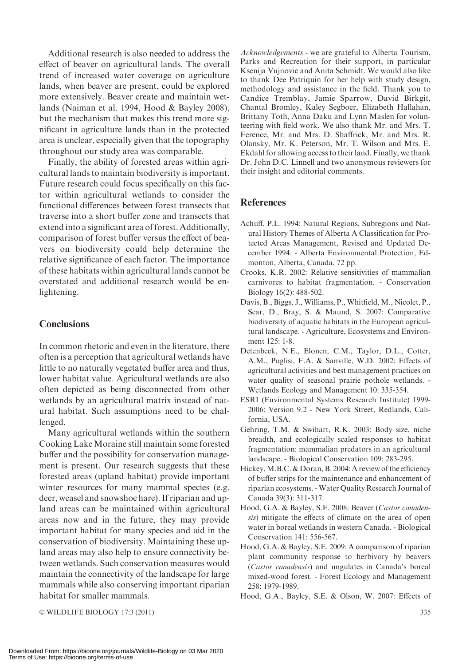Additional research is also needed to address the effect of beaver on agricultural lands. The overall trend of increased water coverage on agriculture lands, when beaver are present, could be explored more extensively. Beaver create and maintain wetlands (Naiman et al. 1994, Hood & Bayley 2008), but the mechanism that makes this trend more significant in agriculture lands than in the protected area is unclear, especially given that the topography throughout our study area was comparable.

Finally, the ability of forested areas within agricultural lands to maintain biodiversity is important. Future research could focus specifically on this factor within agricultural wetlands to consider the functional differences between forest transects that traverse into a short buffer zone and transects that extend into a significant area of forest. Additionally, comparison of forest buffer versus the effect of beavers on biodiversity could help determine the relative significance of each factor. The importance of these habitats within agricultural lands cannot be overstated and additional research would be enlightening.

## **Conclusions**

In common rhetoric and even in the literature, there often is a perception that agricultural wetlands have little to no naturally vegetated buffer area and thus, lower habitat value. Agricultural wetlands are also often depicted as being disconnected from other wetlands by an agricultural matrix instead of natural habitat. Such assumptions need to be challenged.

Many agricultural wetlands within the southern Cooking Lake Moraine still maintain some forested buffer and the possibility for conservation management is present. Our research suggests that these forested areas (upland habitat) provide important winter resources for many mammal species (e.g. deer, weasel and snowshoe hare). If riparian and upland areas can be maintained within agricultural areas now and in the future, they may provide important habitat for many species and aid in the conservation of biodiversity. Maintaining these upland areas may also help to ensure connectivity between wetlands. Such conservation measures would maintain the connectivity of the landscape for large mammals while also conserving important riparian habitat for smaller mammals.

Acknowledgements - we are grateful to Alberta Tourism, Parks and Recreation for their support, in particular Ksenija Vujnovic and Anita Schmidt. We would also like to thank Dee Patriquin for her help with study design, methodology and assistance in the field. Thank you to Candice Tremblay, Jamie Sparrow, David Birkgit, Chantal Bromley, Kaley Segboer, Elizabeth Hallahan, Brittany Toth, Anna Daku and Lynn Maslen for volunteering with field work. We also thank Mr. and Mrs. T. Ference, Mr. and Mrs. D. Shaffrick, Mr. and Mrs. R. Olansky, Mr. K. Peterson, Mr. T. Wilson and Mrs. E. Ekdahl for allowing access to their land. Finally, we thank Dr. John D.C. Linnell and two anonymous reviewers for their insight and editorial comments.

## **References**

- Achuff, P.L. 1994: Natural Regions, Subregions and Natural History Themes of Alberta A Classification for Protected Areas Management, Revised and Updated December 1994. - Alberta Environmental Protection, Edmonton, Alberta, Canada, 72 pp.
- Crooks, K.R. 2002: Relative sensitivities of mammalian carnivores to habitat fragmentation. - Conservation Biology 16(2): 488-502.
- Davis, B., Biggs, J., Williams, P., Whitfield, M., Nicolet, P., Sear, D., Bray, S. & Maund, S. 2007: Comparative biodiversity of aquatic habitats in the European agricultural landscape. - Agriculture, Ecosystems and Environment 125: 1-8.
- Detenbeck, N.E., Elonen, C.M., Taylor, D.L., Cotter, A.M., Puglisi, F.A. & Sanville, W.D. 2002: Effects of agricultural activities and best management practices on water quality of seasonal prairie pothole wetlands. - Wetlands Ecology and Management 10: 335-354.
- ESRI (Environmental Systems Research Institute) 1999- 2006: Version 9.2 - New York Street, Redlands, California, USA.
- Gehring, T.M. & Swihart, R.K. 2003: Body size, niche breadth, and ecologically scaled responses to habitat fragmentation: mammalian predators in an agricultural landscape. - Biological Conservation 109: 283-295.
- Hickey, M.B.C. & Doran, B. 2004: A review of the efficiency of buffer strips for the maintenance and enhancement of riparian ecosystems. -Water Quality Research Journal of Canada 39(3): 311-317.
- Hood, G.A. & Bayley, S.E. 2008: Beaver (Castor canadensis) mitigate the effects of climate on the area of open water in boreal wetlands in western Canada. - Biological Conservation 141: 556-567.
- Hood, G.A. & Bayley, S.E. 2009: A comparison of riparian plant community response to herbivory by beavers (Castor canadensis) and ungulates in Canada's boreal mixed-wood forest. - Forest Ecology and Management 258: 1979-1989.
- Hood, G.A., Bayley, S.E. & Olson, W. 2007: Effects of

© WILDLIFE BIOLOGY 17:3 (2011) 335